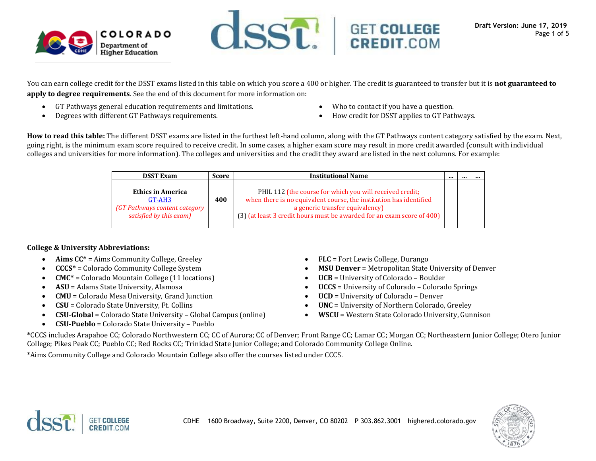



You can earn college credit for the DSST exams listed in this table on which you score a 400 or higher. The credit is guaranteed to transfer but it is **not guaranteed to apply to degree requirements**. See the end of this document for more information on:

- GT Pathways general education requirements and limitations.
- Degrees with different GT Pathways requirements.
- Who to contact if you have a question.
- How credit for DSST applies to GT Pathways.

**How to read this table:** The different DSST exams are listed in the furthest left-hand column, along with the GT Pathways content category satisfied by the exam. Next, going right, is the minimum exam score required to receive credit. In some cases, a higher exam score may result in more credit awarded (consult with individual colleges and universities for more information). The colleges and universities and the credit they award are listed in the next columns. For example:

| <b>DSST Exam</b>                                                                               | Score | <b>Institutional Name</b>                                                                                                                                                                                                                  | <br> |  |
|------------------------------------------------------------------------------------------------|-------|--------------------------------------------------------------------------------------------------------------------------------------------------------------------------------------------------------------------------------------------|------|--|
| <b>Ethics in America</b><br>GT-AH3<br>(GT Pathways content category<br>satisfied by this exam) | 400   | PHIL 112 (the course for which you will received credit;<br>when there is no equivalent course, the institution has identified<br>a generic transfer equivalency<br>(3) (at least 3 credit hours must be awarded for an exam score of 400) |      |  |

## **College & University Abbreviations:**

- Aims  $CC^*$  = Aims Community College, Greeley
- **CCCS\*** = Colorado Community College System
- **CMC\*** = Colorado Mountain College (11 locations)
- **ASU** = Adams State University, Alamosa
- **CMU** = Colorado Mesa University, Grand Junction
- **CSU** = Colorado State University, Ft. Collins
- **CSU-Global** = Colorado State University Global Campus (online)
- **CSU-Pueblo** = Colorado State University Pueblo
- **FLC** = Fort Lewis College, Durango
- **MSU Denver** = Metropolitan State University of Denver
- **UCB** = University of Colorado Boulder
- **UCCS** = University of Colorado Colorado Springs
- **UCD** = University of Colorado Denver
- **UNC** = University of Northern Colorado, Greeley
- **WSCU** = Western State Colorado University, Gunnison

**\***CCCS includes Arapahoe CC; Colorado Northwestern CC; CC of Aurora; CC of Denver; Front Range CC; Lamar CC; Morgan CC; Northeastern Junior College; Otero Junior College; Pikes Peak CC; Pueblo CC; Red Rocks CC; Trinidad State Junior College; and Colorado Community College Online.

\*Aims Community College and Colorado Mountain College also offer the courses listed under CCCS.



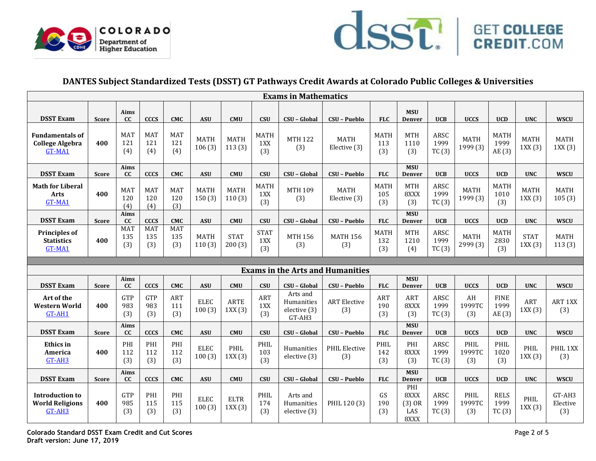



# **DANTES Subject Standardized Tests (DSST) GT Pathways Credit Awards at Colorado Public Colleges & Universities**

| <b>Exams in Mathematics</b>                                |              |                          |                          |                          |                       |                       |                           |                                                  |                                         |                           |                                    |                       |                         |                              |                       |                       |
|------------------------------------------------------------|--------------|--------------------------|--------------------------|--------------------------|-----------------------|-----------------------|---------------------------|--------------------------------------------------|-----------------------------------------|---------------------------|------------------------------------|-----------------------|-------------------------|------------------------------|-----------------------|-----------------------|
| <b>DSST Exam</b>                                           | <b>Score</b> | Aims<br><b>CC</b>        | <b>CCCS</b>              | <b>CMC</b>               | <b>ASU</b>            | <b>CMU</b>            | <b>CSU</b>                | CSU - Global                                     | <b>CSU - Pueblo</b>                     | <b>FLC</b>                | <b>MSU</b><br><b>Denver</b>        | <b>UCB</b>            | <b>UCCS</b>             | <b>UCD</b>                   | <b>UNC</b>            | <b>WSCU</b>           |
| <b>Fundamentals of</b><br><b>College Algebra</b><br>GT-MA1 | 400          | <b>MAT</b><br>121<br>(4) | <b>MAT</b><br>121<br>(4) | MAT<br>121<br>(4)        | <b>MATH</b><br>106(3) | <b>MATH</b><br>113(3) | <b>MATH</b><br>1XX<br>(3) | <b>MTH 122</b><br>(3)                            | <b>MATH</b><br>Elective (3)             | <b>MATH</b><br>113<br>(3) | <b>MTH</b><br>1110<br>(3)          | ARSC<br>1999<br>TC(3) | <b>MATH</b><br>1999 (3) | <b>MATH</b><br>1999<br>AE(3) | <b>MATH</b><br>1XX(3) | <b>MATH</b><br>1XX(3) |
| <b>DSST Exam</b>                                           | <b>Score</b> | Aims<br><b>CC</b>        | <b>CCCS</b>              | <b>CMC</b>               | <b>ASU</b>            | CMU                   | <b>CSU</b>                | CSU - Global                                     | <b>CSU - Pueblo</b>                     | <b>FLC</b>                | <b>MSU</b><br>Denver               | <b>UCB</b>            | <b>UCCS</b>             | <b>UCD</b>                   | <b>UNC</b>            | <b>WSCU</b>           |
| <b>Math for Liberal</b><br><b>Arts</b><br>GT-MA1           | 400          | <b>MAT</b><br>120<br>(4) | <b>MAT</b><br>120<br>(4) | <b>MAT</b><br>120<br>(3) | <b>MATH</b><br>150(3) | <b>MATH</b><br>110(3) | <b>MATH</b><br>1XX<br>(3) | <b>MTH 109</b><br>(3)                            | <b>MATH</b><br>Elective (3)             | <b>MATH</b><br>105<br>(3) | <b>MTH</b><br>8XXX<br>(3)          | ARSC<br>1999<br>TC(3) | <b>MATH</b><br>1999 (3) | <b>MATH</b><br>1010<br>(3)   | <b>MATH</b><br>1XX(3) | <b>MATH</b><br>105(3) |
| <b>DSST Exam</b>                                           | <b>Score</b> | Aims<br>cc               | <b>CCCS</b>              | <b>CMC</b>               | <b>ASU</b>            | CMU                   | <b>CSU</b>                | CSU - Global                                     | <b>CSU - Pueblo</b>                     | <b>FLC</b>                | <b>MSU</b><br><b>Denver</b>        | <b>UCB</b>            | <b>UCCS</b>             | <b>UCD</b>                   | <b>UNC</b>            | <b>WSCU</b>           |
| <b>Principles of</b><br><b>Statistics</b><br>GT-MA1        | 400          | <b>MAT</b><br>135<br>(3) | <b>MAT</b><br>135<br>(3) | <b>MAT</b><br>135<br>(3) | <b>MATH</b><br>110(3) | <b>STAT</b><br>200(3) | <b>STAT</b><br>1XX<br>(3) | <b>MTH 156</b><br>(3)                            | <b>MATH 156</b><br>(3)                  | <b>MATH</b><br>132<br>(3) | <b>MTH</b><br>1210<br>(4)          | ARSC<br>1999<br>TC(3) | <b>MATH</b><br>2999 (3) | <b>MATH</b><br>2830<br>(3)   | <b>STAT</b><br>1XX(3) | <b>MATH</b><br>113(3) |
|                                                            |              |                          |                          |                          |                       |                       |                           |                                                  |                                         |                           |                                    |                       |                         |                              |                       |                       |
|                                                            |              |                          |                          |                          |                       |                       |                           |                                                  |                                         |                           |                                    |                       |                         |                              |                       |                       |
|                                                            |              |                          |                          |                          |                       |                       |                           |                                                  | <b>Exams in the Arts and Humanities</b> |                           |                                    |                       |                         |                              |                       |                       |
| <b>DSST Exam</b>                                           | <b>Score</b> | Aims<br>cc               | <b>CCCS</b>              | <b>CMC</b>               | <b>ASU</b>            | <b>CMU</b>            | <b>CSU</b>                | CSU - Global                                     | <b>CSU - Pueblo</b>                     | <b>FLC</b>                | <b>MSU</b><br><b>Denver</b>        | <b>UCB</b>            | <b>UCCS</b>             | <b>UCD</b>                   | <b>UNC</b>            | <b>WSCU</b>           |
| Art of the<br><b>Western World</b><br>GT-AH1               | 400          | GTP<br>983<br>(3)        | <b>GTP</b><br>983<br>(3) | ART<br>111<br>(3)        | <b>ELEC</b><br>100(3) | <b>ARTE</b><br>1XX(3) | <b>ART</b><br>1XX<br>(3)  | Arts and<br>Humanities<br>elective (3)<br>GT-AH3 | <b>ART</b> Elective<br>(3)              | <b>ART</b><br>190<br>(3)  | <b>ART</b><br>8XXX<br>(3)          | ARSC<br>1999<br>TC(3) | AH<br>1999TC<br>(3)     | <b>FINE</b><br>1999<br>AE(3) | ART<br>1XX(3)         | ART 1XX<br>(3)        |
| <b>DSST Exam</b>                                           | <b>Score</b> | Aims<br>cc               | <b>CCCS</b>              | <b>CMC</b>               | <b>ASU</b>            | CMU                   | <b>CSU</b>                | CSU - Global                                     | <b>CSU - Pueblo</b>                     | <b>FLC</b>                | <b>MSU</b><br><b>Denver</b>        | <b>UCB</b>            | <b>UCCS</b>             | <b>UCD</b>                   | <b>UNC</b>            | <b>WSCU</b>           |
| <b>Ethics</b> in<br>America<br>$GT-AH3$                    | 400          | PHI<br>112<br>(3)        | PHI<br>112<br>(3)        | PHI<br>112<br>(3)        | <b>ELEC</b><br>100(3) | PHIL<br>1XX(3)        | PHIL<br>103<br>(3)        | Humanities<br>elective (3)                       | <b>PHIL Elective</b><br>(3)             | PHIL<br>142<br>(3)        | PHI<br>8XXX<br>(3)                 | ARSC<br>1999<br>TC(3) | PHIL<br>1999TC<br>(3)   | PHIL<br>1020<br>(3)          | PHIL<br>1XX(3)        | PHIL 1XX<br>(3)       |
| <b>DSST Exam</b>                                           | <b>Score</b> | Aims<br>cc               | <b>CCCS</b>              | <b>CMC</b>               | <b>ASU</b>            | <b>CMU</b>            | <b>CSU</b>                | CSU - Global                                     | CSU - Pueblo                            | <b>FLC</b>                | <b>MSU</b><br><b>Denver</b><br>PHI | <b>UCB</b>            | <b>UCCS</b>             | <b>UCD</b>                   | <b>UNC</b>            | <b>WSCU</b>           |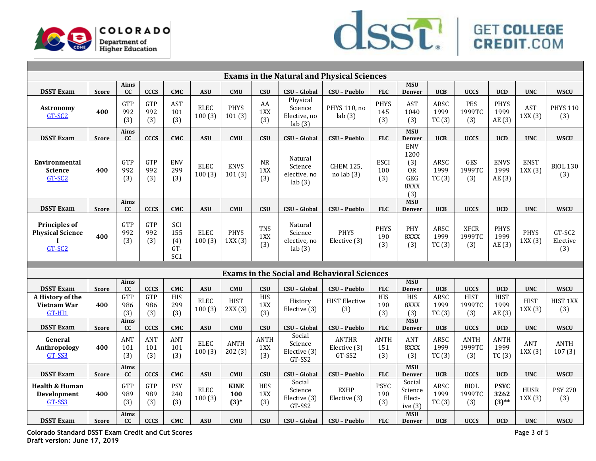



| <b>Exams in the Natural and Physical Sciences</b>                         |              |                   |                          |                                               |                             |                              |                           |                                               |                                                    |                           |                                                              |                       |                              |                                 |                       |                           |
|---------------------------------------------------------------------------|--------------|-------------------|--------------------------|-----------------------------------------------|-----------------------------|------------------------------|---------------------------|-----------------------------------------------|----------------------------------------------------|---------------------------|--------------------------------------------------------------|-----------------------|------------------------------|---------------------------------|-----------------------|---------------------------|
| <b>DSST Exam</b>                                                          | <b>Score</b> | Aims<br>cc        | <b>CCCS</b>              | <b>CMC</b>                                    | <b>ASU</b>                  | CMU                          | <b>CSU</b>                | <b>CSU - Global</b>                           | CSU - Pueblo                                       | <b>FLC</b>                | <b>MSU</b><br><b>Denver</b>                                  | <b>UCB</b>            | <b>UCCS</b>                  | <b>UCD</b>                      | <b>UNC</b>            | <b>WSCU</b>               |
| <b>Astronomy</b><br>GT-SC2                                                | 400          | GTP<br>992<br>(3) | <b>GTP</b><br>992<br>(3) | <b>AST</b><br>101<br>(3)                      | <b>ELEC</b><br>100(3)       | <b>PHYS</b><br>101(3)        | AA<br>1XX<br>(3)          | Physical<br>Science<br>Elective, no<br>lab(3) | PHYS 110, no<br>lab(3)                             | <b>PHYS</b><br>145<br>(3) | <b>AST</b><br>1040<br>(3)                                    | ARSC<br>1999<br>TC(3) | PES<br>1999TC<br>(3)         | <b>PHYS</b><br>1999<br>AE(3)    | <b>AST</b><br>1XX(3)  | <b>PHYS 110</b><br>(3)    |
| <b>DSST Exam</b>                                                          | <b>Score</b> | Aims<br>cc        | <b>CCCS</b>              | <b>CMC</b>                                    | <b>ASU</b>                  | <b>CMU</b>                   | <b>CSU</b>                | CSU - Global                                  | CSU - Pueblo                                       | <b>FLC</b>                | <b>MSU</b><br><b>Denver</b>                                  | <b>UCB</b>            | <b>UCCS</b>                  | <b>UCD</b>                      | <b>UNC</b>            | <b>WSCU</b>               |
| Environmental<br><b>Science</b><br>GT-SC <sub>2</sub>                     | 400          | GTP<br>992<br>(3) | <b>GTP</b><br>992<br>(3) | <b>ENV</b><br>299<br>(3)                      | <b>ELEC</b><br>100(3)       | <b>ENVS</b><br>101(3)        | ${\sf NR}$<br>1XX<br>(3)  | Natural<br>Science<br>elective, no<br>lab(3)  | <b>CHEM 125,</b><br>$no$ lab $(3)$                 | <b>ESCI</b><br>100<br>(3) | <b>ENV</b><br>1200<br>(3)<br><b>OR</b><br>GEG<br>8XXX<br>(3) | ARSC<br>1999<br>TC(3) | <b>GES</b><br>1999TC<br>(3)  | <b>ENVS</b><br>1999<br>AE(3)    | <b>ENST</b><br>1XX(3) | <b>BIOL 130</b><br>(3)    |
| <b>DSST Exam</b>                                                          | <b>Score</b> | Aims<br>cc        | <b>CCCS</b>              | <b>CMC</b>                                    | <b>ASU</b>                  | CMU                          | <b>CSU</b>                | CSU - Global                                  | CSU - Pueblo                                       | <b>FLC</b>                | <b>MSU</b><br><b>Denver</b>                                  | <b>UCB</b>            | <b>UCCS</b>                  | <b>UCD</b>                      | <b>UNC</b>            | <b>WSCU</b>               |
| <b>Principles of</b><br><b>Physical Science</b><br>$\mathbf{I}$<br>GT-SC2 | 400          | GTP<br>992<br>(3) | <b>GTP</b><br>992<br>(3) | SCI<br>155<br>(4)<br>$GT-$<br>SC <sub>1</sub> | <b>ELEC</b><br>100(3)       | <b>PHYS</b><br>1XX(3)        | <b>TNS</b><br>1XX<br>(3)  | Natural<br>Science<br>elective, no<br>lab(3)  | <b>PHYS</b><br>Elective (3)                        | <b>PHYS</b><br>190<br>(3) | PHY<br>8XXX<br>(3)                                           | ARSC<br>1999<br>TC(3) | <b>XFCR</b><br>1999TC<br>(3) | <b>PHYS</b><br>1999<br>AE (3)   | <b>PHYS</b><br>1XX(3) | GT-SC2<br>Elective<br>(3) |
|                                                                           |              |                   |                          |                                               |                             |                              |                           |                                               |                                                    |                           |                                                              |                       |                              |                                 |                       |                           |
|                                                                           |              |                   |                          |                                               |                             |                              |                           |                                               | <b>Exams in the Social and Behavioral Sciences</b> |                           |                                                              |                       |                              |                                 |                       |                           |
| <b>DSST Exam</b>                                                          | <b>Score</b> | Aims<br>cc        | <b>CCCS</b>              | <b>CMC</b>                                    | <b>ASU</b>                  | CMU                          | <b>CSU</b>                | CSU - Global                                  | CSU - Pueblo                                       | <b>FLC</b>                | <b>MSU</b><br>Denver                                         | <b>UCB</b>            | <b>UCCS</b>                  | <b>UCD</b>                      | <b>UNC</b>            | <b>WSCU</b>               |
| A History of the<br>Vietnam War<br>$GT-HI1$                               | 400          | GTP<br>986<br>(3) | <b>GTP</b><br>986<br>(3) | HIS<br>299<br>(3)                             | <b>ELEC</b><br>100(3)       | <b>HIST</b><br>2XX(3)        | <b>HIS</b><br>1XX<br>(3)  | History<br>Elective (3)                       | <b>HIST Elective</b><br>(3)                        | <b>HIS</b><br>190<br>(3)  | <b>HIS</b><br>8XXX<br>(3)                                    | ARSC<br>1999<br>TC(3) | <b>HIST</b><br>1999TC<br>(3) | <b>HIST</b><br>1999<br>AE(3)    | <b>HIST</b><br>1XX(3) | HIST 1XX<br>(3)           |
| <b>DSST Exam</b>                                                          | <b>Score</b> | Aims<br>cc        | <b>CCCS</b>              | <b>CMC</b>                                    | $\boldsymbol{\mathsf{ASU}}$ | CMU                          | <b>CSU</b>                | CSU - Global                                  | <b>CSU - Pueblo</b>                                | <b>FLC</b>                | <b>MSU</b><br><b>Denver</b>                                  | <b>UCB</b>            | <b>UCCS</b>                  | <b>UCD</b>                      | <b>UNC</b>            | <b>WSCU</b>               |
| General<br>Anthropology<br>GT-SS3                                         | 400          | ANT<br>101<br>(3) | ANT<br>101<br>(3)        | ANT<br>101<br>(3)                             | <b>ELEC</b><br>100(3)       | <b>ANTH</b><br>202(3)        | <b>ANTH</b><br>1XX<br>(3) | Social<br>Science<br>Elective (3)<br>GT-SS2   | <b>ANTHR</b><br>Elective (3)<br>GT-SS2             | <b>ANTH</b><br>151<br>(3) | <b>ANT</b><br>8XXX<br>(3)                                    | ARSC<br>1999<br>TC(3) | <b>ANTH</b><br>1999TC<br>(3) | <b>ANTH</b><br>1999<br>TC(3)    | ANT<br>1XX(3)         | <b>ANTH</b><br>107(3)     |
| <b>DSST Exam</b>                                                          | <b>Score</b> | Aims<br>cc        | <b>CCCS</b>              | <b>CMC</b>                                    | $\boldsymbol{\mathsf{ASU}}$ | CMU                          | <b>CSU</b>                | CSU - Global                                  | <b>CSU - Pueblo</b>                                | <b>FLC</b>                | <b>MSU</b><br>Denver                                         | <b>UCB</b>            | <b>UCCS</b>                  | <b>UCD</b>                      | <b>UNC</b>            | <b>WSCU</b>               |
| <b>Health &amp; Human</b><br>Development<br>GT-SS3                        | 400          | GTP<br>989<br>(3) | <b>GTP</b><br>989<br>(3) | <b>PSY</b><br>240<br>(3)                      | <b>ELEC</b><br>100(3)       | <b>KINE</b><br>100<br>$(3)*$ | <b>HES</b><br>1XX<br>(3)  | Social<br>Science<br>Elective (3)<br>GT-SS2   | <b>EXHP</b><br>Elective (3)                        | <b>PSYC</b><br>190<br>(3) | Social<br>Science<br>Elect-<br>ive $(3)$                     | ARSC<br>1999<br>TC(3) | <b>BIOL</b><br>1999TC<br>(3) | <b>PSYC</b><br>3262<br>$(3)$ ** | <b>HUSR</b><br>1XX(3) | <b>PSY 270</b><br>(3)     |
| <b>DSST Exam</b>                                                          | <b>Score</b> | Aims<br>cc        | <b>CCCS</b>              | <b>CMC</b>                                    | <b>ASU</b>                  | <b>CMU</b>                   | <b>CSU</b>                | CSU - Global                                  | <b>CSU - Pueblo</b>                                | <b>FLC</b>                | <b>MSU</b><br><b>Denver</b>                                  | <b>UCB</b>            | <b>UCCS</b>                  | <b>UCD</b>                      | <b>UNC</b>            | <b>WSCU</b>               |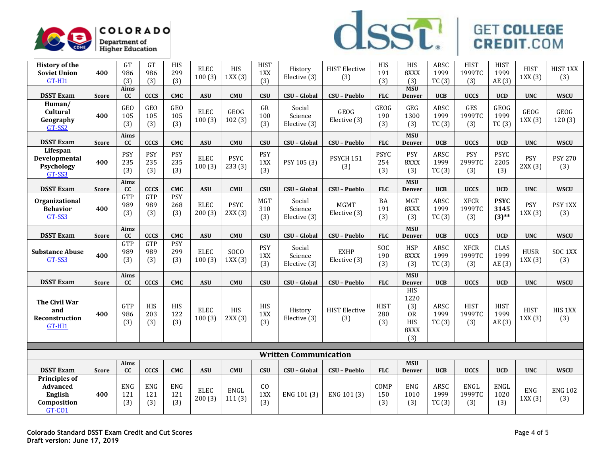



| <b>History of the</b><br><b>Soviet Union</b><br>$GT-HI1$             | 400          | GT<br>986<br>(3)         | GT<br>986<br>(3)         | <b>HIS</b><br>299<br>(3) | <b>ELEC</b><br>100(3) | <b>HIS</b><br>1XX(3)  | <b>HIST</b><br>1XX<br>(3) | History<br>Elective (3)           | <b>HIST Elective</b><br>(3) | HIS<br>191<br>(3)         | HIS<br>8XXX<br>(3)                                           | ARSC<br>1999<br>TC(3) | <b>HIST</b><br>1999TC<br>(3) | <b>HIST</b><br>1999<br>AE (3)   | <b>HIST</b><br>1XX(3) | HIST 1XX<br>(3)       |
|----------------------------------------------------------------------|--------------|--------------------------|--------------------------|--------------------------|-----------------------|-----------------------|---------------------------|-----------------------------------|-----------------------------|---------------------------|--------------------------------------------------------------|-----------------------|------------------------------|---------------------------------|-----------------------|-----------------------|
| <b>DSST Exam</b>                                                     | <b>Score</b> | Aims<br>cc               | <b>CCCS</b>              | <b>CMC</b>               | <b>ASU</b>            | CMU                   | <b>CSU</b>                | CSU - Global                      | <b>CSU - Pueblo</b>         | <b>FLC</b>                | <b>MSU</b><br><b>Denver</b>                                  | <b>UCB</b>            | <b>UCCS</b>                  | <b>UCD</b>                      | <b>UNC</b>            | <b>WSCU</b>           |
| Human/<br>Cultural<br>Geography<br>GT-SS2                            | 400          | <b>GEO</b><br>105<br>(3) | <b>GEO</b><br>105<br>(3) | GEO<br>105<br>(3)        | <b>ELEC</b><br>100(3) | <b>GEOG</b><br>102(3) | GR<br>100<br>(3)          | Social<br>Science<br>Elective (3) | GEOG<br>Elective (3)        | GEOG<br>190<br>(3)        | GEG<br>1300<br>(3)                                           | ARSC<br>1999<br>TC(3) | <b>GES</b><br>1999TC<br>(3)  | <b>GEOG</b><br>1999<br>TC(3)    | <b>GEOG</b><br>1XX(3) | GEOG<br>120(3)        |
| <b>DSST Exam</b>                                                     | <b>Score</b> | Aims<br>cc               | <b>CCCS</b>              | <b>CMC</b>               | <b>ASU</b>            | <b>CMU</b>            | CSU                       | CSU - Global                      | CSU - Pueblo                | <b>FLC</b>                | <b>MSU</b><br><b>Denver</b>                                  | <b>UCB</b>            | <b>UCCS</b>                  | <b>UCD</b>                      | <b>UNC</b>            | <b>WSCU</b>           |
| Lifespan<br><b>Developmental</b><br>Psychology<br>GT-SS3             | 400          | <b>PSY</b><br>235<br>(3) | <b>PSY</b><br>235<br>(3) | <b>PSY</b><br>235<br>(3) | <b>ELEC</b><br>100(3) | <b>PSYC</b><br>233(3) | <b>PSY</b><br>1XX<br>(3)  | PSY 105 (3)                       | PSYCH 151<br>(3)            | <b>PSYC</b><br>254<br>(3) | <b>PSY</b><br>8XXX<br>(3)                                    | ARSC<br>1999<br>TC(3) | PSY<br>2999TC<br>(3)         | <b>PSYC</b><br>2205<br>(3)      | <b>PSY</b><br>2XX(3)  | <b>PSY 270</b><br>(3) |
| <b>DSST Exam</b>                                                     | <b>Score</b> | Aims<br>cc               | <b>CCCS</b>              | CMC                      | <b>ASU</b>            | <b>CMU</b>            | <b>CSU</b>                | CSU - Global                      | <b>CSU - Pueblo</b>         | <b>FLC</b>                | <b>MSU</b><br><b>Denver</b>                                  | <b>UCB</b>            | <b>UCCS</b>                  | <b>UCD</b>                      | <b>UNC</b>            | <b>WSCU</b>           |
| Organizational<br><b>Behavior</b><br>GT-SS3                          | 400          | GTP<br>989<br>(3)        | GTP<br>989<br>(3)        | <b>PSY</b><br>268<br>(3) | <b>ELEC</b><br>200(3) | <b>PSYC</b><br>2XX(3) | MGT<br>310<br>(3)         | Social<br>Science<br>Elective (3) | <b>MGMT</b><br>Elective (3) | BA<br>191<br>(3)          | <b>MGT</b><br>8XXX<br>(3)                                    | ARSC<br>1999<br>TC(3) | <b>XFCR</b><br>1999TC<br>(3) | <b>PSYC</b><br>3145<br>$(3)$ ** | <b>PSY</b><br>1XX(3)  | PSY 1XX<br>(3)        |
| <b>DSST Exam</b>                                                     | <b>Score</b> | Aims<br>cc               | <b>CCCS</b>              | <b>CMC</b>               | <b>ASU</b>            | <b>CMU</b>            | <b>CSU</b>                | CSU - Global                      | CSU - Pueblo                | <b>FLC</b>                | <b>MSU</b><br><b>Denver</b>                                  | <b>UCB</b>            | <b>UCCS</b>                  | <b>UCD</b>                      | <b>UNC</b>            | <b>WSCU</b>           |
| <b>Substance Abuse</b><br>GT-SS3                                     | 400          | GTP<br>989<br>(3)        | GTP<br>989<br>(3)        | <b>PSY</b><br>299<br>(3) | <b>ELEC</b><br>100(3) | <b>SOCO</b><br>1XX(3) | <b>PSY</b><br>1XX<br>(3)  | Social<br>Science<br>Elective (3) | <b>EXHP</b><br>Elective (3) | SOC<br>190<br>(3)         | <b>HSP</b><br>8XXX<br>(3)                                    | ARSC<br>1999<br>TC(3) | <b>XFCR</b><br>1999TC<br>(3) | <b>CLAS</b><br>1999<br>AE (3)   | <b>HUSR</b><br>1XX(3) | SOC 1XX<br>(3)        |
| <b>DSST Exam</b>                                                     | <b>Score</b> | Aims<br>cc               | <b>CCCS</b>              | <b>CMC</b>               | <b>ASU</b>            | <b>CMU</b>            | CSU                       | CSU - Global                      | <b>CSU - Pueblo</b>         | <b>FLC</b>                | <b>MSU</b><br>Denver                                         | <b>UCB</b>            | <b>UCCS</b>                  | <b>UCD</b>                      | <b>UNC</b>            | <b>WSCU</b>           |
| <b>The Civil War</b><br>and<br>Reconstruction<br>$GT-HI1$            | 400          | GTP<br>986<br>(3)        | HIS<br>203<br>(3)        | HIS<br>122<br>(3)        | <b>ELEC</b><br>100(3) | <b>HIS</b><br>2XX(3)  | <b>HIS</b><br>1XX<br>(3)  | History<br>Elective (3)           | <b>HIST Elective</b><br>(3) | <b>HIST</b><br>280<br>(3) | <b>HIS</b><br>1220<br>(3)<br><b>OR</b><br>HIS<br>8XXX<br>(3) | ARSC<br>1999<br>TC(3) | <b>HIST</b><br>1999TC<br>(3) | <b>HIST</b><br>1999<br>AE (3)   | <b>HIST</b><br>1XX(3) | HIS 1XX<br>(3)        |
|                                                                      |              |                          |                          |                          |                       |                       |                           | <b>Written Communication</b>      |                             |                           |                                                              |                       |                              |                                 |                       |                       |
| <b>DSST Exam</b>                                                     | <b>Score</b> | Aims<br>cc               | <b>CCCS</b>              | <b>CMC</b>               | <b>ASU</b>            | CMU                   | <b>CSU</b>                | CSU - Global                      | <b>CSU - Pueblo</b>         | <b>FLC</b>                | <b>MSU</b><br><b>Denver</b>                                  | <b>UCB</b>            | <b>UCCS</b>                  | <b>UCD</b>                      | <b>UNC</b>            | <b>WSCU</b>           |
| <b>Principles of</b><br>Advanced<br>English<br>Composition<br>GT-CO1 | 400          | <b>ENG</b><br>121<br>(3) | <b>ENG</b><br>121<br>(3) | ENG<br>121<br>(3)        | <b>ELEC</b><br>200(3) | ENGL<br>111(3)        | CO<br>1XX<br>(3)          | ENG 101 (3)                       | ENG 101 (3)                 | COMP<br>150<br>(3)        | ENG<br>1010<br>(3)                                           | ARSC<br>1999<br>TC(3) | <b>ENGL</b><br>1999TC<br>(3) | ENGL<br>1020<br>(3)             | <b>ENG</b><br>1XX(3)  | <b>ENG 102</b><br>(3) |